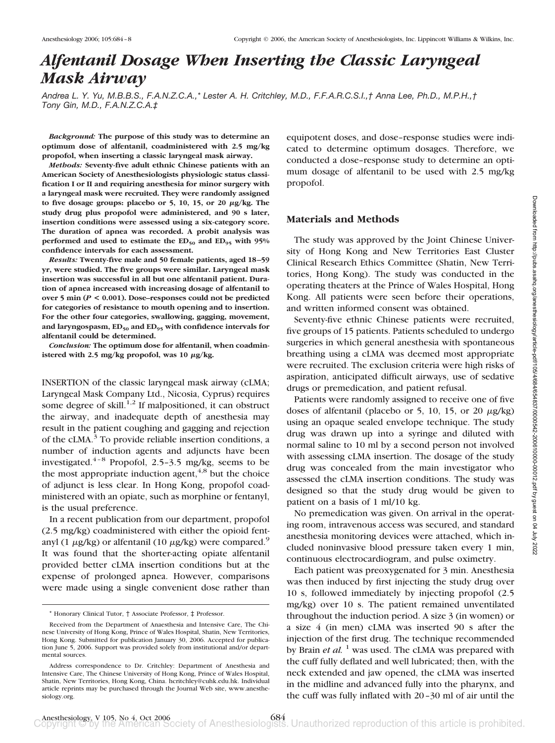# *Alfentanil Dosage When Inserting the Classic Laryngeal Mask Airway*

*Andrea L. Y. Yu, M.B.B.S., F.A.N.Z.C.A.,\* Lester A. H. Critchley, M.D., F.F.A.R.C.S.I.,† Anna Lee, Ph.D., M.P.H.,† Tony Gin, M.D., F.A.N.Z.C.A.‡*

*Background:* **The purpose of this study was to determine an optimum dose of alfentanil, coadministered with 2.5 mg/kg propofol, when inserting a classic laryngeal mask airway.**

*Methods:* **Seventy-five adult ethnic Chinese patients with an American Society of Anesthesiologists physiologic status classification I or II and requiring anesthesia for minor surgery with a laryngeal mask were recruited. They were randomly assigned** to five dosage groups: placebo or 5, 10, 15, or 20  $\mu$ g/kg. The **study drug plus propofol were administered, and 90 s later, insertion conditions were assessed using a six-category score. The duration of apnea was recorded. A probit analysis was** performed and used to estimate the ED<sub>50</sub> and ED<sub>95</sub> with 95% **confidence intervals for each assessment.**

*Results:* **Twenty-five male and 50 female patients, aged 18 –59 yr, were studied. The five groups were similar. Laryngeal mask insertion was successful in all but one alfentanil patient. Duration of apnea increased with increasing dosage of alfentanil to over 5 min (***P* **< 0.001). Dose–responses could not be predicted for categories of resistance to mouth opening and to insertion. For the other four categories, swallowing, gagging, movement,** and laryngospasm, ED<sub>50</sub> and ED<sub>95</sub> with confidence intervals for **alfentanil could be determined.**

*Conclusion:* **The optimum dose for alfentanil, when coadmin**istered with 2.5 mg/kg propofol, was 10  $\mu$ g/kg.

INSERTION of the classic laryngeal mask airway (cLMA; Laryngeal Mask Company Ltd., Nicosia, Cyprus) requires some degree of skill.<sup>1,2</sup> If malpositioned, it can obstruct the airway, and inadequate depth of anesthesia may result in the patient coughing and gagging and rejection of the cLMA.<sup>3</sup> To provide reliable insertion conditions, a number of induction agents and adjuncts have been investigated.<sup>4–8</sup> Propofol, 2.5–3.5 mg/kg, seems to be the most appropriate induction agent,  $4.8$  but the choice of adjunct is less clear. In Hong Kong, propofol coadministered with an opiate, such as morphine or fentanyl, is the usual preference.

In a recent publication from our department, propofol (2.5 mg/kg) coadministered with either the opioid fentanyl (1  $\mu$ g/kg) or alfentanil (10  $\mu$ g/kg) were compared.<sup>9</sup> It was found that the shorter-acting opiate alfentanil provided better cLMA insertion conditions but at the expense of prolonged apnea. However, comparisons were made using a single convenient dose rather than equipotent doses, and dose–response studies were indicated to determine optimum dosages. Therefore, we conducted a dose–response study to determine an optimum dosage of alfentanil to be used with 2.5 mg/kg propofol.

# **Materials and Methods**

The study was approved by the Joint Chinese University of Hong Kong and New Territories East Cluster Clinical Research Ethics Committee (Shatin, New Territories, Hong Kong). The study was conducted in the operating theaters at the Prince of Wales Hospital, Hong Kong. All patients were seen before their operations, and written informed consent was obtained.

Seventy-five ethnic Chinese patients were recruited, five groups of 15 patients. Patients scheduled to undergo surgeries in which general anesthesia with spontaneous breathing using a cLMA was deemed most appropriate were recruited. The exclusion criteria were high risks of aspiration, anticipated difficult airways, use of sedative drugs or premedication, and patient refusal.

Patients were randomly assigned to receive one of five doses of alfentanil (placebo or 5, 10, 15, or 20  $\mu$ g/kg) using an opaque sealed envelope technique. The study drug was drawn up into a syringe and diluted with normal saline to 10 ml by a second person not involved with assessing cLMA insertion. The dosage of the study drug was concealed from the main investigator who assessed the cLMA insertion conditions. The study was designed so that the study drug would be given to patient on a basis of 1 ml/10 kg.

No premedication was given. On arrival in the operating room, intravenous access was secured, and standard anesthesia monitoring devices were attached, which included noninvasive blood pressure taken every 1 min, continuous electrocardiogram, and pulse oximetry.

Each patient was preoxygenated for 3 min. Anesthesia was then induced by first injecting the study drug over 10 s, followed immediately by injecting propofol (2.5 mg/kg) over 10 s. The patient remained unventilated throughout the induction period. A size 3 (in women) or a size 4 (in men) cLMA was inserted 90 s after the injection of the first drug. The technique recommended by Brain *et al.* <sup>1</sup> was used. The cLMA was prepared with the cuff fully deflated and well lubricated; then, with the neck extended and jaw opened, the cLMA was inserted in the midline and advanced fully into the pharynx, and the cuff was fully inflated with 20–30 ml of air until the

<sup>\*</sup> Honorary Clinical Tutor, † Associate Professor, ‡ Professor.

Received from the Department of Anaesthesia and Intensive Care, The Chinese University of Hong Kong, Prince of Wales Hospital, Shatin, New Territories, Hong Kong. Submitted for publication January 30, 2006. Accepted for publication June 5, 2006. Support was provided solely from institutional and/or departmental sources.

Address correspondence to Dr. Critchley: Department of Anesthesia and Intensive Care, The Chinese University of Hong Kong, Prince of Wales Hospital, Shatin, New Territories, Hong Kong, China. hcritchley@cuhk.edu.hk. Individual article reprints may be purchased through the Journal Web site, www.anesthesiology.org.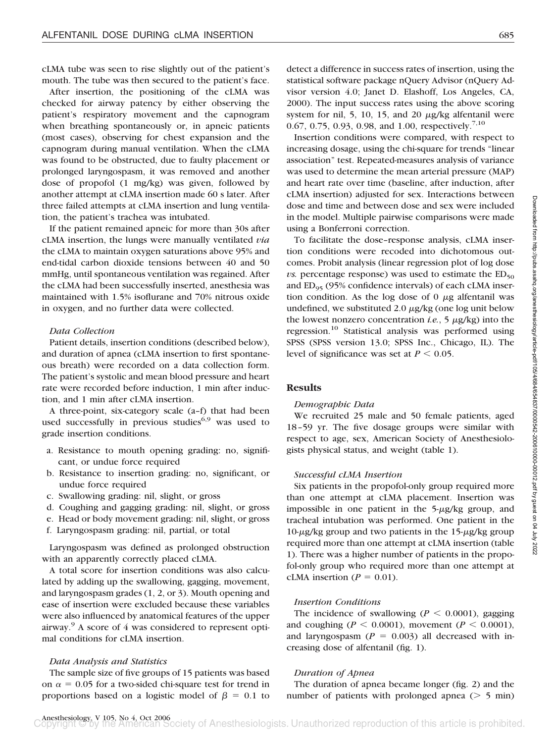cLMA tube was seen to rise slightly out of the patient's mouth. The tube was then secured to the patient's face.

After insertion, the positioning of the cLMA was checked for airway patency by either observing the patient's respiratory movement and the capnogram when breathing spontaneously or, in apneic patients (most cases), observing for chest expansion and the capnogram during manual ventilation. When the cLMA was found to be obstructed, due to faulty placement or prolonged laryngospasm, it was removed and another dose of propofol (1 mg/kg) was given, followed by another attempt at cLMA insertion made 60 s later. After three failed attempts at cLMA insertion and lung ventilation, the patient's trachea was intubated.

If the patient remained apneic for more than 30s after cLMA insertion, the lungs were manually ventilated *via* the cLMA to maintain oxygen saturations above 95% and end-tidal carbon dioxide tensions between 40 and 50 mmHg, until spontaneous ventilation was regained. After the cLMA had been successfully inserted, anesthesia was maintained with 1.5% isoflurane and 70% nitrous oxide in oxygen, and no further data were collected.

#### *Data Collection*

Patient details, insertion conditions (described below), and duration of apnea (cLMA insertion to first spontaneous breath) were recorded on a data collection form. The patient's systolic and mean blood pressure and heart rate were recorded before induction, 1 min after induction, and 1 min after cLMA insertion.

A three-point, six-category scale (a–f) that had been used successfully in previous studies<sup>6,9</sup> was used to grade insertion conditions.

- a. Resistance to mouth opening grading: no, significant, or undue force required
- b. Resistance to insertion grading: no, significant, or undue force required
- c. Swallowing grading: nil, slight, or gross
- d. Coughing and gagging grading: nil, slight, or gross
- e. Head or body movement grading: nil, slight, or gross
- f. Laryngospasm grading: nil, partial, or total

Laryngospasm was defined as prolonged obstruction with an apparently correctly placed cLMA.

A total score for insertion conditions was also calculated by adding up the swallowing, gagging, movement, and laryngospasm grades (1, 2, or 3). Mouth opening and ease of insertion were excluded because these variables were also influenced by anatomical features of the upper airway.9 A score of 4 was considered to represent optimal conditions for cLMA insertion.

#### *Data Analysis and Statistics*

The sample size of five groups of 15 patients was based on  $\alpha$  = 0.05 for a two-sided chi-square test for trend in proportions based on a logistic model of  $\beta = 0.1$  to

detect a difference in success rates of insertion, using the statistical software package nQuery Advisor (nQuery Advisor version 4.0; Janet D. Elashoff, Los Angeles, CA, 2000). The input success rates using the above scoring system for nil, 5, 10, 15, and 20  $\mu$ g/kg alfentanil were 0.67, 0.75, 0.93, 0.98, and 1.00, respectively.<sup>7,10</sup>

Insertion conditions were compared, with respect to increasing dosage, using the chi-square for trends "linear association" test. Repeated-measures analysis of variance was used to determine the mean arterial pressure (MAP) and heart rate over time (baseline, after induction, after cLMA insertion) adjusted for sex. Interactions between dose and time and between dose and sex were included in the model. Multiple pairwise comparisons were made using a Bonferroni correction.

To facilitate the dose–response analysis, cLMA insertion conditions were recoded into dichotomous outcomes. Probit analysis (linear regression plot of log dose *vs.* percentage response) was used to estimate the  $ED_{50}$ and  $ED_{95}$  (95% confidence intervals) of each cLMA insertion condition. As the log dose of  $\theta$   $\mu$ g alfentanil was undefined, we substituted 2.0  $\mu$ g/kg (one log unit below the lowest nonzero concentration *i.e.*,  $\frac{1}{2} \mu$ g/kg) into the regression.10 Statistical analysis was performed using SPSS (SPSS version 13.0; SPSS Inc., Chicago, IL). The level of significance was set at  $P < 0.05$ .

### **Results**

#### *Demographic Data*

We recruited 25 male and 50 female patients, aged 18–59 yr. The five dosage groups were similar with respect to age, sex, American Society of Anesthesiologists physical status, and weight (table 1).

#### *Successful cLMA Insertion*

Six patients in the propofol-only group required more than one attempt at cLMA placement. Insertion was impossible in one patient in the  $5-\mu g/kg$  group, and tracheal intubation was performed. One patient in the  $10$ - $\mu$ g/kg group and two patients in the 15- $\mu$ g/kg group required more than one attempt at cLMA insertion (table 1). There was a higher number of patients in the propofol-only group who required more than one attempt at cLMA insertion  $(P = 0.01)$ .

#### *Insertion Conditions*

The incidence of swallowing  $(P < 0.0001)$ , gagging and coughing ( $P < 0.0001$ ), movement ( $P < 0.0001$ ), and laryngospasm  $(P = 0.003)$  all decreased with increasing dose of alfentanil (fig. 1).

#### *Duration of Apnea*

The duration of apnea became longer (fig. 2) and the number of patients with prolonged apnea  $($  > 5 min)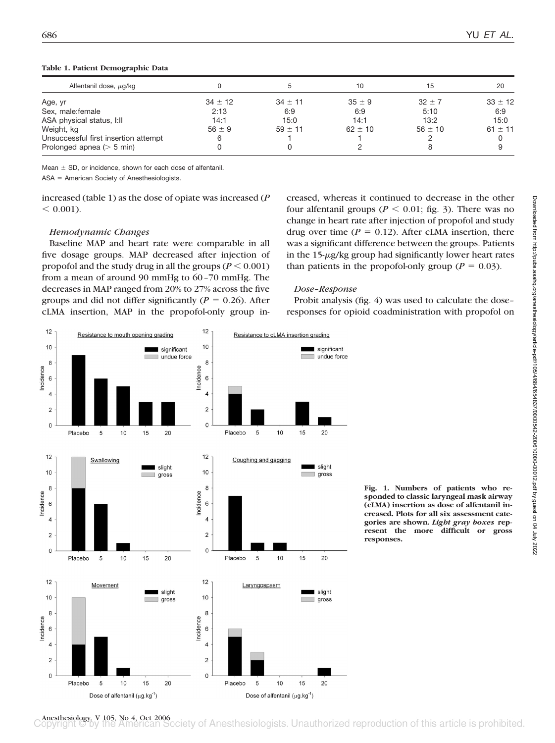| Alfentanil dose, $\mu$ g/kg          |             |           | 10          | 15          | 20          |
|--------------------------------------|-------------|-----------|-------------|-------------|-------------|
| Age, yr                              | $34 \pm 12$ | $34 + 11$ | $35 \pm 9$  | $32 \pm 7$  | $33 \pm 12$ |
| Sex, male: female                    | 2:13        | 6:9       | 6:9         | 5:10        | 6:9         |
| ASA physical status, I:II            | 14:1        | 15:0      | 14:1        | 13:2        | 15:0        |
| Weight, kg                           | $56 \pm 9$  | $59 + 11$ | $62 \pm 10$ | $56 \pm 10$ | $61 \pm 11$ |
| Unsuccessful first insertion attempt | 6           |           |             |             |             |
| Prolonged apnea $(> 5$ min)          |             |           |             |             |             |

#### **Table 1. Patient Demographic Data**

Mean  $\pm$  SD, or incidence, shown for each dose of alfentanil.

 $ASA = American Society of Anesthesiologists.$ 

increased (table 1) as the dose of opiate was increased (*P*  $< 0.001$ ).

# *Hemodynamic Changes*

Baseline MAP and heart rate were comparable in all five dosage groups. MAP decreased after injection of propofol and the study drug in all the groups  $(P \le 0.001)$ from a mean of around 90 mmHg to 60–70 mmHg. The decreases in MAP ranged from 20% to 27% across the five groups and did not differ significantly ( $P = 0.26$ ). After cLMA insertion, MAP in the propofol-only group increased, whereas it continued to decrease in the other four alfentanil groups ( $P < 0.01$ ; fig. 3). There was no change in heart rate after injection of propofol and study drug over time  $(P = 0.12)$ . After cLMA insertion, there was a significant difference between the groups. Patients in the  $15-\mu g/kg$  group had significantly lower heart rates than patients in the propofol-only group ( $P = 0.03$ ).

# *Dose–Response*

Probit analysis (fig. 4) was used to calculate the dose– responses for opioid coadministration with propofol on



**Fig. 1. Numbers of patients who responded to classic laryngeal mask airway (cLMA) insertion as dose of alfentanil increased. Plots for all six assessment categories are shown.** *Light gray boxes* **represent the more difficult or gross responses.**

Anesthesiology, V 105, No 4, Oct 2006<br> **Copyright** C by the American Society of Anesthesiologists. Unauthorized reproduction of this article is prohibited.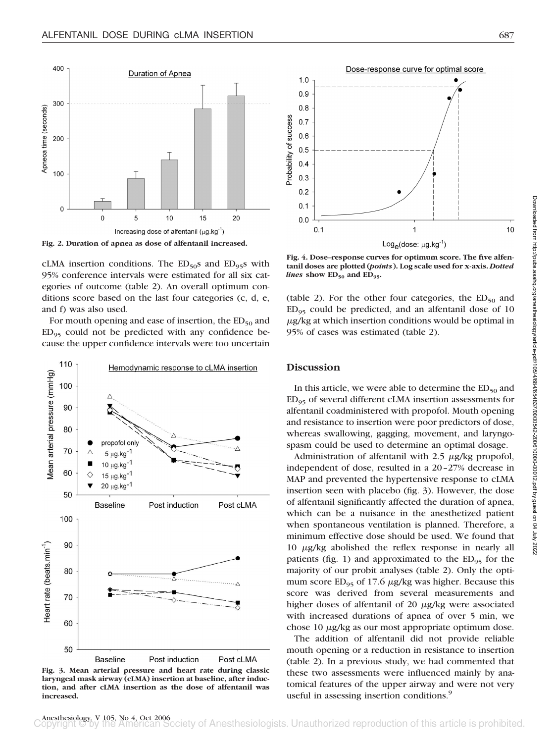

**Fig. 2. Duration of apnea as dose of alfentanil increased.**

cLMA insertion conditions. The  $ED_{50}$ s and  $ED_{95}$ s with 95% conference intervals were estimated for all six categories of outcome (table 2). An overall optimum conditions score based on the last four categories (c, d, e, and f) was also used.

For mouth opening and ease of insertion, the  $ED_{50}$  and  $ED_{95}$  could not be predicted with any confidence because the upper confidence intervals were too uncertain



**Fig. 3. Mean arterial pressure and heart rate during classic laryngeal mask airway (cLMA) insertion at baseline, after induction, and after cLMA insertion as the dose of alfentanil was increased.**



**Fig. 4. Dose–response curves for optimum score. The five alfentanil doses are plotted (***points***). Log scale used for x-axis.** *Dotted lines* show ED<sub>50</sub> and ED<sub>95</sub>.

(table 2). For the other four categories, the  $ED_{50}$  and  $ED_{95}$  could be predicted, and an alfentanil dose of 10  $\mu$ g/kg at which insertion conditions would be optimal in 95% of cases was estimated (table 2).

# **Discussion**

In this article, we were able to determine the  $ED_{50}$  and  $ED_{95}$  of several different cLMA insertion assessments for alfentanil coadministered with propofol. Mouth opening and resistance to insertion were poor predictors of dose, whereas swallowing, gagging, movement, and laryngospasm could be used to determine an optimal dosage.

Administration of alfentanil with  $2.5 \mu g/kg$  propofol, independent of dose, resulted in a 20–27% decrease in MAP and prevented the hypertensive response to cLMA insertion seen with placebo (fig. 3). However, the dose of alfentanil significantly affected the duration of apnea, which can be a nuisance in the anesthetized patient when spontaneous ventilation is planned. Therefore, a minimum effective dose should be used. We found that  $10 \mu g/kg$  abolished the reflex response in nearly all patients (fig. 1) and approximated to the  $ED_{95}$  for the majority of our probit analyses (table 2). Only the optimum score  $ED_{95}$  of 17.6  $\mu$ g/kg was higher. Because this score was derived from several measurements and higher doses of alfentanil of 20  $\mu$ g/kg were associated with increased durations of apnea of over 5 min, we chose  $10 \mu g/kg$  as our most appropriate optimum dose.

The addition of alfentanil did not provide reliable mouth opening or a reduction in resistance to insertion (table 2). In a previous study, we had commented that these two assessments were influenced mainly by anatomical features of the upper airway and were not very useful in assessing insertion conditions.<sup>9</sup>